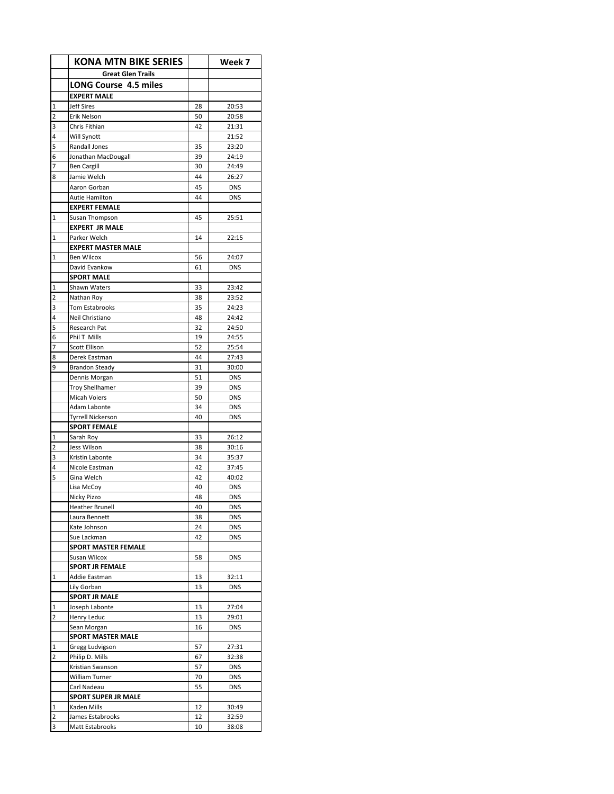|              | <b>KONA MTN BIKE SERIES</b>                |          | Week 7         |
|--------------|--------------------------------------------|----------|----------------|
|              | <b>Great Glen Trails</b>                   |          |                |
|              | <b>LONG Course 4.5 miles</b>               |          |                |
|              | <b>EXPERT MALE</b>                         |          |                |
| 1            | <b>Jeff Sires</b>                          | 28       | 20:53          |
| 2            | Erik Nelson                                | 50       | 20:58          |
| 3            | Chris Fithian                              | 42       | 21:31          |
| 4            | Will Synott                                |          | 21:52          |
| 5            | Randall Jones                              | 35       | 23:20          |
| 6            | Jonathan MacDougall                        | 39       | 24:19          |
| 7            | <b>Ben Cargill</b>                         | 30       | 24:49          |
| 8            | Jamie Welch                                | 44       | 26:27          |
|              | Aaron Gorban                               | 45       | <b>DNS</b>     |
|              | Autie Hamilton                             | 44       | <b>DNS</b>     |
|              | <b>EXPERT FEMALE</b>                       |          |                |
| $\mathbf 1$  | Susan Thompson                             | 45       | 25:51          |
|              | <b>EXPERT JR MALE</b>                      |          |                |
| 1            | Parker Welch                               | 14       | 22:15          |
|              | <b>EXPERT MASTER MALE</b>                  |          |                |
| $\mathbf{1}$ | <b>Ben Wilcox</b>                          | 56       | 24:07          |
|              | David Evankow                              | 61       | <b>DNS</b>     |
|              | <b>SPORT MALE</b>                          |          |                |
| 1            | Shawn Waters                               | 33       | 23:42          |
| 2<br>3       | Nathan Roy<br><b>Tom Estabrooks</b>        | 38<br>35 | 23:52          |
| 4            | Neil Christiano                            | 48       | 24:23<br>24:42 |
| 5            | Research Pat                               | 32       | 24:50          |
| 6            | Phil T Mills                               | 19       | 24:55          |
| 7            | Scott Ellison                              | 52       | 25:54          |
| 8            | Derek Eastman                              | 44       | 27:43          |
| 9            | <b>Brandon Steady</b>                      | 31       | 30:00          |
|              | Dennis Morgan                              | 51       | <b>DNS</b>     |
|              | <b>Troy Shellhamer</b>                     | 39       | <b>DNS</b>     |
|              | <b>Micah Voiers</b>                        | 50       | <b>DNS</b>     |
|              | Adam Labonte                               | 34       | <b>DNS</b>     |
|              | <b>Tyrrell Nickerson</b>                   | 40       | <b>DNS</b>     |
|              | <b>SPORT FEMALE</b>                        |          |                |
| 1            | Sarah Roy                                  | 33       | 26:12          |
| 2            | Jess Wilson                                | 38       | 30:16          |
| 3            | Kristin Labonte                            | 34       | 35:37          |
| 4            | Nicole Eastman                             | 42       | 37:45          |
| 5            | Gina Welch                                 | 42       | 40:02          |
|              | Lisa McCoy                                 | 40       | DNS            |
|              | Nicky Pizzo                                | 48       | <b>DNS</b>     |
|              | Heather Brunell                            | 40       | <b>DNS</b>     |
|              | Laura Bennett                              | 38       | DNS            |
|              | Kate Johnson<br>Sue Lackman                | 24       | DNS            |
|              |                                            | 42       | <b>DNS</b>     |
|              | <b>SPORT MASTER FEMALE</b><br>Susan Wilcox | 58       | <b>DNS</b>     |
|              | <b>SPORT JR FEMALE</b>                     |          |                |
| 1            | Addie Eastman                              | 13       | 32:11          |
|              | Lily Gorban                                | 13       | <b>DNS</b>     |
|              | <b>SPORT JR MALE</b>                       |          |                |
| 1            | Joseph Labonte                             | 13       | 27:04          |
| 2            | Henry Leduc                                | 13       | 29:01          |
|              | Sean Morgan                                | 16       | <b>DNS</b>     |
|              | <b>SPORT MASTER MALE</b>                   |          |                |
| 1            | Gregg Ludvigson                            | 57       | 27:31          |
| 2            | Philip D. Mills                            | 67       | 32:38          |
|              | Kristian Swanson                           | 57       | <b>DNS</b>     |
|              | William Turner                             | 70       | <b>DNS</b>     |
|              | Carl Nadeau                                | 55       | <b>DNS</b>     |
|              | <b>SPORT SUPER JR MALE</b>                 |          |                |
| 1            | Kaden Mills                                | 12       | 30:49          |
| 2            | James Estabrooks                           | 12       | 32:59          |
| 3            | Matt Estabrooks                            | 10       | 38:08          |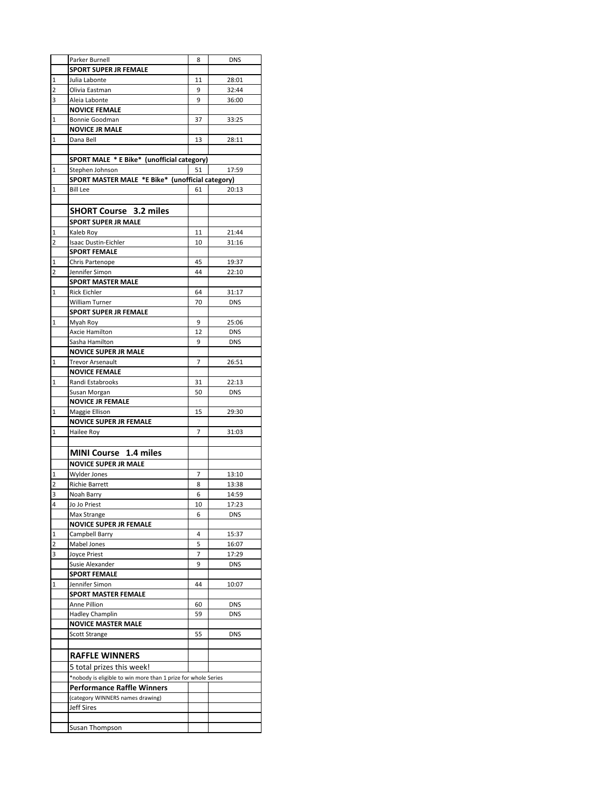|                | Parker Burnell                                                | 8  | <b>DNS</b> |
|----------------|---------------------------------------------------------------|----|------------|
|                | <b>SPORT SUPER JR FEMALE</b>                                  |    |            |
|                |                                                               |    |            |
| 1              | Julia Labonte                                                 | 11 | 28:01      |
| $\overline{2}$ | Olivia Eastman                                                | 9  | 32:44      |
| 3              | Aleia Labonte                                                 | 9  | 36:00      |
|                | <b>NOVICE FEMALE</b>                                          |    |            |
| 1              | <b>Bonnie Goodman</b>                                         | 37 | 33:25      |
|                | <b>NOVICE JR MALE</b>                                         |    |            |
| 1              | Dana Bell                                                     | 13 | 28:11      |
|                |                                                               |    |            |
|                | SPORT MALE * E Bike* (unofficial category)                    |    |            |
|                |                                                               |    |            |
| $\mathbf 1$    | Stephen Johnson                                               | 51 | 17:59      |
|                | SPORT MASTER MALE *E Bike* (unofficial category)              |    |            |
| $\mathbf{1}$   | <b>Bill Lee</b>                                               | 61 | 20:13      |
|                |                                                               |    |            |
|                | <b>SHORT Course</b> 3.2 miles                                 |    |            |
|                | <b>SPORT SUPER JR MALE</b>                                    |    |            |
| $\mathbf 1$    | Kaleb Roy                                                     | 11 | 21:44      |
|                |                                                               |    |            |
| $\overline{2}$ | Isaac Dustin-Eichler                                          | 10 | 31:16      |
|                | <b>SPORT FEMALE</b>                                           |    |            |
| $\mathbf 1$    | Chris Partenope                                               | 45 | 19:37      |
| $\overline{2}$ | Jennifer Simon                                                | 44 | 22:10      |
|                | <b>SPORT MASTER MALE</b>                                      |    |            |
| $\mathbf{1}$   | <b>Rick Eichler</b>                                           | 64 | 31:17      |
|                | <b>William Turner</b>                                         | 70 | <b>DNS</b> |
|                | <b>SPORT SUPER JR FEMALE</b>                                  |    |            |
|                |                                                               |    |            |
| $\mathbf 1$    | Myah Roy                                                      | 9  | 25:06      |
|                | Axcie Hamilton                                                | 12 | <b>DNS</b> |
|                | Sasha Hamilton                                                | 9  | <b>DNS</b> |
|                | <b>NOVICE SUPER JR MALE</b>                                   |    |            |
| $\mathbf{1}$   | <b>Trevor Arsenault</b>                                       | 7  | 26:51      |
|                | <b>NOVICE FEMALE</b>                                          |    |            |
| $\mathbf{1}$   | Randi Estabrooks                                              | 31 | 22:13      |
|                | Susan Morgan                                                  | 50 | <b>DNS</b> |
|                | <b>NOVICE JR FEMALE</b>                                       |    |            |
|                |                                                               |    |            |
| 1              | Maggie Ellison                                                | 15 | 29:30      |
|                | <b>NOVICE SUPER JR FEMALE</b>                                 |    |            |
| $\mathbf{1}$   | Hailee Roy                                                    | 7  | 31:03      |
|                |                                                               |    |            |
|                | MINI Course 1.4 miles                                         |    |            |
|                | <b>NOVICE SUPER JR MALE</b>                                   |    |            |
| 1              | Wylder Jones                                                  | 7  | 13:10      |
|                |                                                               |    | 13:38      |
| 2              | <b>Richie Barrett</b>                                         | 8  |            |
| 3              | Noah Barry                                                    | 6  | 14:59      |
| 4              | Jo Jo Priest                                                  | 10 | 17:23      |
|                | Max Strange                                                   | 6  | <b>DNS</b> |
|                | <b>NOVICE SUPER JR FEMALE</b>                                 |    |            |
| 1              | Campbell Barry                                                | 4  | 15:37      |
| $\overline{2}$ | Mabel Jones                                                   | 5  | 16:07      |
| 3              | Joyce Priest                                                  | 7  | 17:29      |
|                | Susie Alexander                                               | 9  | <b>DNS</b> |
|                | <b>SPORT FEMALE</b>                                           |    |            |
|                |                                                               |    |            |
| 1              | Jennifer Simon                                                | 44 | 10:07      |
|                | <b>SPORT MASTER FEMALE</b>                                    |    |            |
|                | Anne Pillion                                                  | 60 | <b>DNS</b> |
|                | <b>Hadley Champlin</b>                                        | 59 | <b>DNS</b> |
|                | <b>NOVICE MASTER MALE</b>                                     |    |            |
|                | <b>Scott Strange</b>                                          | 55 | <b>DNS</b> |
|                |                                                               |    |            |
|                | <b>RAFFLE WINNERS</b>                                         |    |            |
|                |                                                               |    |            |
|                | 5 total prizes this week!                                     |    |            |
|                | *nobody is eligible to win more than 1 prize for whole Series |    |            |
|                | <b>Performance Raffle Winners</b>                             |    |            |
|                | (category WINNERS names drawing)                              |    |            |
|                | <b>Jeff Sires</b>                                             |    |            |
|                |                                                               |    |            |
|                |                                                               |    |            |
|                | Susan Thompson                                                |    |            |